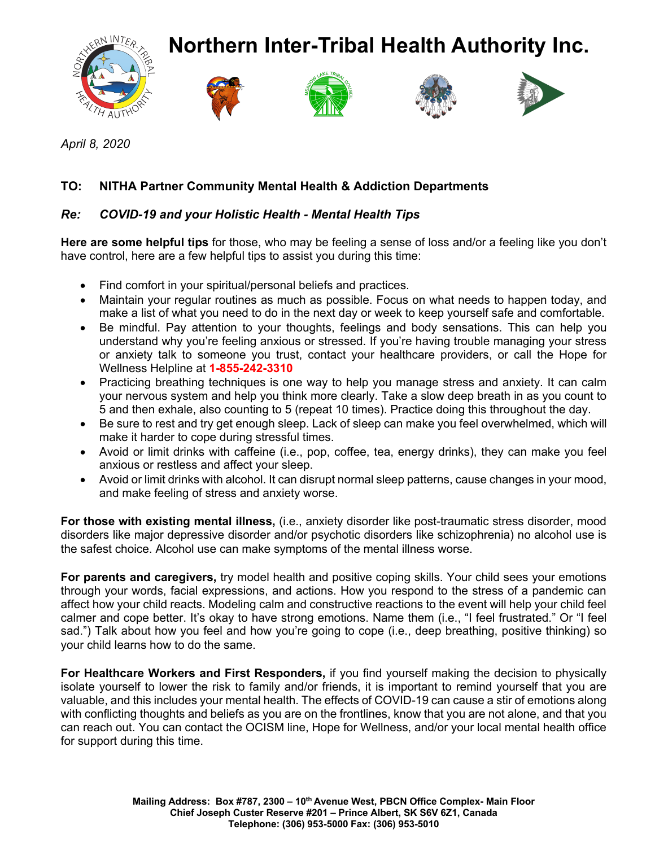

*April 8, 2020*

## **TO: NITHA Partner Community Mental Health & Addiction Departments**

## *Re: COVID-19 and your Holistic Health - Mental Health Tips*

**Here are some helpful tips** for those, who may be feeling a sense of loss and/or a feeling like you don't have control, here are a few helpful tips to assist you during this time:

- Find comfort in your spiritual/personal beliefs and practices.
- Maintain your regular routines as much as possible. Focus on what needs to happen today, and make a list of what you need to do in the next day or week to keep yourself safe and comfortable.
- Be mindful. Pay attention to your thoughts, feelings and body sensations. This can help you understand why you're feeling anxious or stressed. If you're having trouble managing your stress or anxiety talk to someone you trust, contact your healthcare providers, or call the Hope for Wellness Helpline at **1-855-242-3310**
- Practicing breathing techniques is one way to help you manage stress and anxiety. It can calm your nervous system and help you think more clearly. Take a slow deep breath in as you count to 5 and then exhale, also counting to 5 (repeat 10 times). Practice doing this throughout the day.
- Be sure to rest and try get enough sleep. Lack of sleep can make you feel overwhelmed, which will make it harder to cope during stressful times.
- Avoid or limit drinks with caffeine (i.e., pop, coffee, tea, energy drinks), they can make you feel anxious or restless and affect your sleep.
- Avoid or limit drinks with alcohol. It can disrupt normal sleep patterns, cause changes in your mood, and make feeling of stress and anxiety worse.

**For those with existing mental illness,** (i.e., anxiety disorder like post-traumatic stress disorder, mood disorders like major depressive disorder and/or psychotic disorders like schizophrenia) no alcohol use is the safest choice. Alcohol use can make symptoms of the mental illness worse.

**For parents and caregivers,** try model health and positive coping skills. Your child sees your emotions through your words, facial expressions, and actions. How you respond to the stress of a pandemic can affect how your child reacts. Modeling calm and constructive reactions to the event will help your child feel calmer and cope better. It's okay to have strong emotions. Name them (i.e., "I feel frustrated." Or "I feel sad.") Talk about how you feel and how you're going to cope (i.e., deep breathing, positive thinking) so your child learns how to do the same.

**For Healthcare Workers and First Responders,** if you find yourself making the decision to physically isolate yourself to lower the risk to family and/or friends, it is important to remind yourself that you are valuable, and this includes your mental health. The effects of COVID-19 can cause a stir of emotions along with conflicting thoughts and beliefs as you are on the frontlines, know that you are not alone, and that you can reach out. You can contact the OCISM line, Hope for Wellness, and/or your local mental health office for support during this time.